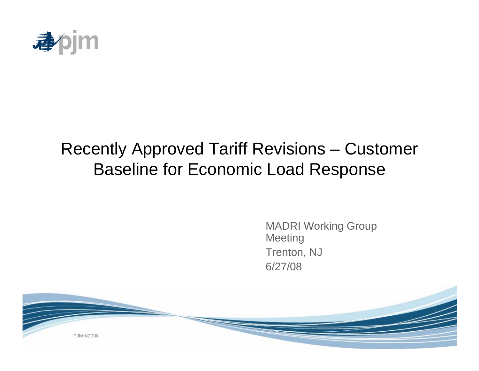

# Recently Approved Tariff Revisions – Customer Baseline for Economic Load Response

MADRI Working Group **Meeting** Trenton, NJ 6/27/08

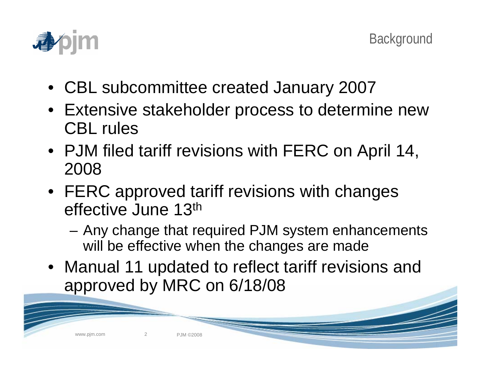

- CBL subcommittee created January 2007
- Extensive stakeholder process to determine new CBL rules
- PJM filed tariff revisions with FERC on April 14, 2008
- FERC approved tariff revisions with changes effective June 13th
	- Any change that required PJM system enhancements will be effective when the changes are made
- Manual 11 updated to reflect tariff revisions and approved by MRC on 6/18/08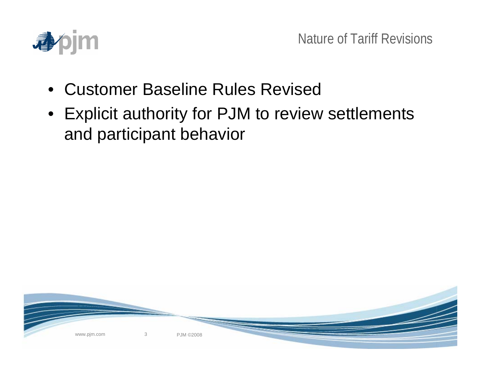

- Customer Baseline Rules Revised
- Explicit authority for PJM to review settlements and participant behavior

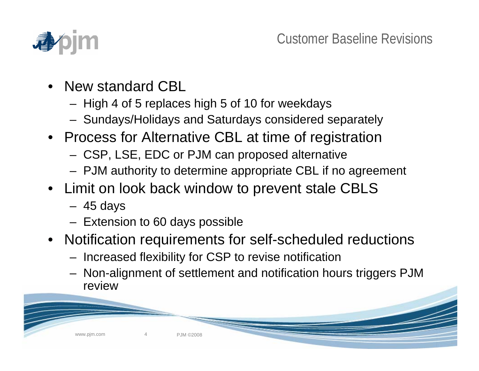

- New standard CBL
	- High 4 of 5 replaces high 5 of 10 for weekdays
	- Sundays/Holidays and Saturdays considered separately
- Process for Alternative CBL at time of registration
	- CSP, LSE, EDC or PJM can proposed alternative
	- PJM authority to determine appropriate CBL if no agreement
- Limit on look back window to prevent stale CBLS
	- 45 days
	- Extension to 60 days possible
- Notification requirements for self-scheduled reductions
	- Increased flexibility for CSP to revise notification
	- Non-alignment of settlement and notification hours triggers PJM review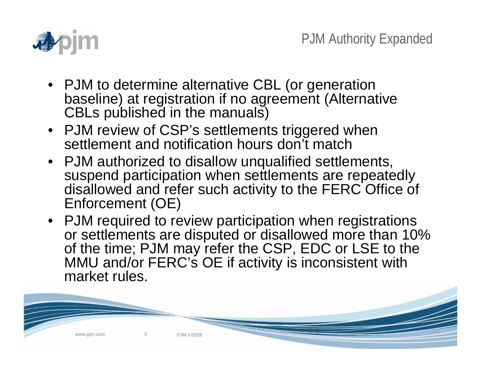

- PJM to determine alternative CBL (or generation baseline) at registration if no agreement (Alternative CBLs published in the manuals)
- PJM review of CSP's settlements triggered when settlement and notification hours don't match

www.pjm.com 5 5 PJM ©2008

- PJM authorized to disallow unqualified settlements, suspend participation when settlements are repeatedly disallowed and refer such activity to the FERC Office of Enforcement (OE)
- PJM required to review participation when registrations or settlements are disputed or disallowed more than 10% of the time; PJM may refer the CSP, EDC or LSE to the MMU and/or FERC's OE if activity is inconsistent with market rules.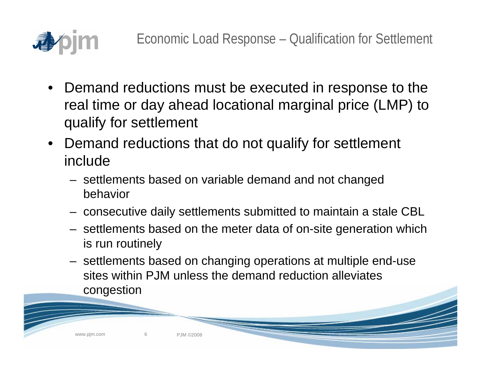

- Demand reductions must be executed in response to the real time or day ahead locational marginal price (LMP) to qualify for settlement
- Demand reductions that do not qualify for settlement include
	- settlements based on variable demand and not changed behavior
	- consecutive daily settlements submitted to maintain a stale CBL
	- settlements based on the meter data of on-site generation which is run routinely
	- settlements based on changing operations at multiple end-use sites within PJM unless the demand reduction alleviates congestion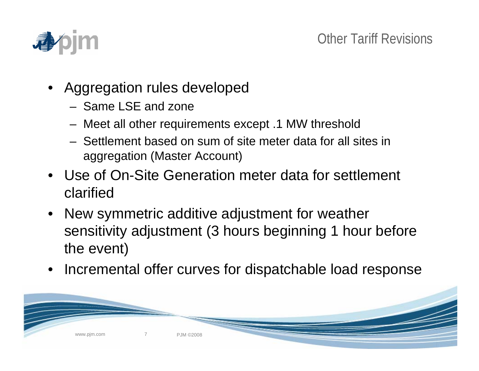

- Aggregation rules developed
	- Same LSE and zone
	- Meet all other requirements except .1 MW threshold
	- Settlement based on sum of site meter data for all sites in aggregation (Master Account)
- Use of On-Site Generation meter data for settlement clarified
- New symmetric additive adjustment for weather sensitivity adjustment (3 hours beginning 1 hour before the event)
- Incremental offer curves for dispatchable load response

P.IM ©2008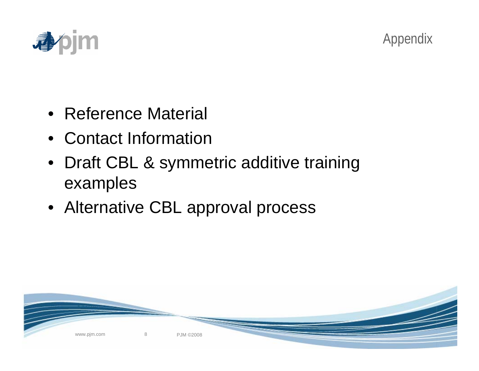



- Reference Material
- Contact Information
- Draft CBL & symmetric additive training examples
- Alternative CBL approval process

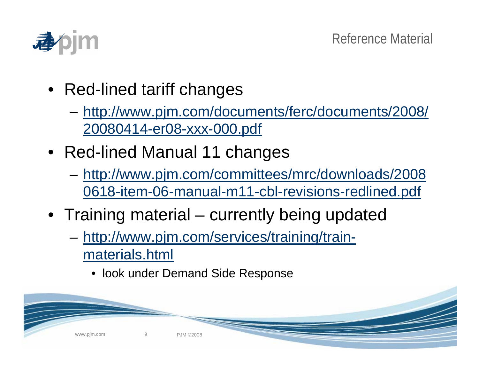

- Red-lined tariff changes
	- [http://www.pjm.com/documents/ferc/documents/2008/](http://www.pjm.com/documents/ferc/documents/2008/20080414-er08-xxx-000.pdf)  [20080414-er08-xxx-000.pdf](http://www.pjm.com/documents/ferc/documents/2008/20080414-er08-xxx-000.pdf)
- Red-lined Manual 11 changes
	- [http://www.pjm.com/committees/mrc/downloads/2008](http://www.pjm.com/committees/mrc/downloads/20080618-item-06-manual-m11-cbl-revisions-redlined.pdf)  [0618-item-06-manual-m11-cbl-revisions-redlined.pdf](http://www.pjm.com/committees/mrc/downloads/20080618-item-06-manual-m11-cbl-revisions-redlined.pdf)
- Training material currently being updated
	- [http://www.pjm.com/services/training/train](http://www.pjm.com/services/training/train-materials.html)[materials.html](http://www.pjm.com/services/training/train-materials.html)
		- look under Demand Side Response

www.pjm.com 9 PJM ©2008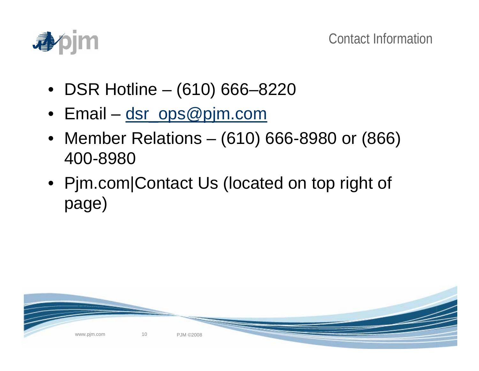

- DSR Hotline (610) 666–8220
- Email [dsr\\_ops@pjm.com](mailto:dsr_ops@pjm.com)
- Member Relations (610) 666-8980 or (866) 400-8980
- Pjm.com|Contact Us (located on top right of page)

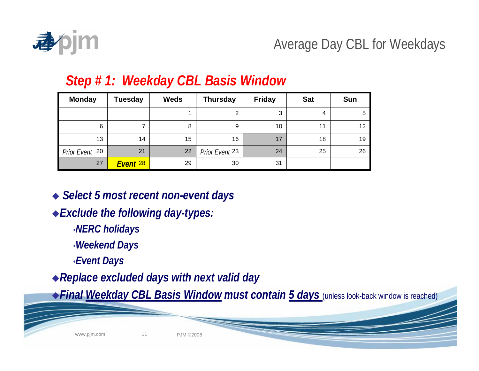

# Average Day CBL for Weekdays

| <b>Monday</b>  | Tuesday  | <b>Weds</b> | <b>Thursday</b> | <b>Friday</b> | <b>Sat</b> | <b>Sun</b> |
|----------------|----------|-------------|-----------------|---------------|------------|------------|
|                |          |             | 2               | 3             |            | 5          |
| 6              |          | 8           | 9               | 10            | 11         | 12         |
| 13             | 14       | 15          | 16              | 17            | 18         | 19         |
| Prior Event 20 | 21       | 22          | Prior Event 23  | 24            | 25         | 26         |
| 27             | Event 28 | 29          | 30              | 31            |            |            |

#### *Step # 1: Weekday CBL Basis Window*

*Select 5 most recent non-event days*

- *Exclude the following day-types:*
	- •*NERC holidays*
	- •*Weekend Days*
	- •*Event Days*

*Replace excluded days with next valid day*

*Final Weekday CBL Basis Window must contain 5 days* (unless look-back window is reached)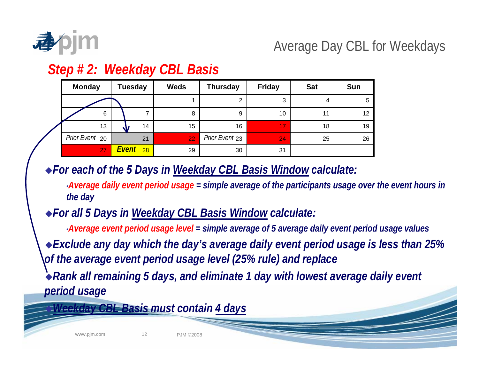

# Average Day CBL for Weekdays

## *Step # 2: Weekday CBL Basis*

| <b>Monday</b>  | <b>Tuesday</b> |  |    | <b>Weds</b> | <b>Thursday</b> | <b>Friday</b> | <b>Sat</b> | <b>Sun</b> |
|----------------|----------------|--|----|-------------|-----------------|---------------|------------|------------|
|                |                |  |    |             | 2               | 3             | 4          | 5          |
| 6              |                |  |    | 8           | 9               | 10            |            | 12         |
| 13             |                |  | 14 | 15          | 16              | 17            | 18         | 19         |
| Prior Event 20 |                |  | 21 | 22          | Prior Event 23  | 24            | 25         | 26         |
| 27             | Event<br>28    |  |    | 29          | 30              | 31            |            |            |

*For each of the 5 Days in Weekday CBL Basis Window calculate:*

•*Average daily event period usage = simple average of the participants usage over the event hours in the day*

*For all 5 Days in Weekday CBL Basis Window calculate:*

•*Average event period usage level = simple average of 5 average daily event period usage values*

*Exclude any day which the day's average daily event period usage is less than 25% of the average event period usage level (25% rule) and replace* 

*Rank all remaining 5 days, and eliminate 1 day with lowest average daily event period usage*

*Weekday CBL Basis must contain 4 days*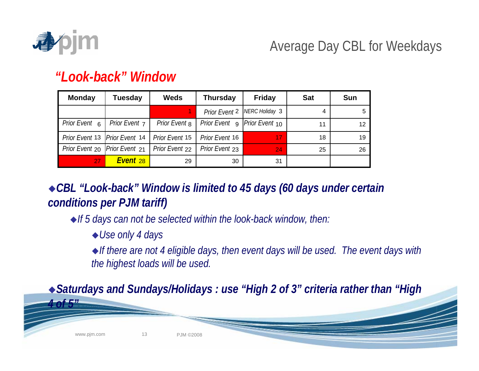

*4 of 5"*

# Average Day CBL for Weekdays

#### *"Look-back" Window*

| <b>Monday</b>                   | Tuesday              | <b>Weds</b>              | <b>Thursday</b><br><b>Friday</b> |                                | <b>Sat</b> | <b>Sun</b> |
|---------------------------------|----------------------|--------------------------|----------------------------------|--------------------------------|------------|------------|
|                                 |                      |                          |                                  | Prior Event 2   NERC Holiday 3 | 4          | 5          |
| Prior Event 6                   | <b>Prior Event 7</b> | Prior Event <sub>8</sub> | Prior Event 9                    | <i>Prior Event</i> 10          | 11         | 12         |
| Prior Event 13   Prior Event 14 |                      | Prior Event 15           | Prior Event 16                   | 17                             | 18         | 19         |
| Prior Event 20   Prior Event 21 |                      | Prior Event 22           | Prior Event 23                   | 24                             | 25         | 26         |
| 27                              | Event <sub>28</sub>  | 29                       | 30                               | 31                             |            |            |

*CBL "Look-back" Window is limited to 45 days (60 days under certain conditions per PJM tariff)*

*If 5 days can not be selected within the look-back window, then:*

*Use only 4 days*

*If there are not 4 eligible days, then event days will be used. The event days with the highest loads will be used.*

*Saturdays and Sundays/Holidays : use "High 2 of 3" criteria rather than "High* 

www.pjm.com 13 PJM ©2008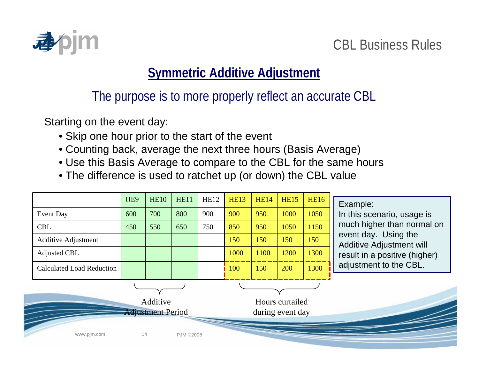

### CBL Business Rules

## **Symmetric Additive Adjustment**

The purpose is to more properly reflect an accurate CBL

Starting on the event day:

- Skip one hour prior to the start of the event
- Counting back, average the next three hours (Basis Average)
- Use this Basis Average to compare to the CBL for the same hours
- The difference is used to ratchet up (or down) the CBL value

|                             |                                  | HE <sub>9</sub> | <b>HE10</b> | <b>HE11</b>      | <b>HE12</b> | <b>HE13</b>      | <b>HE14</b> | <b>HE15</b> | <b>HE16</b> | Example:                                                |
|-----------------------------|----------------------------------|-----------------|-------------|------------------|-------------|------------------|-------------|-------------|-------------|---------------------------------------------------------|
| Event Day                   |                                  | 600             | 700         | 800              | 900         | 900              | 950         | 1000        | 1050        | In this scenario, usage is                              |
| <b>CBL</b>                  |                                  | 450             | 550         | 650              | 750         | 850              | 950         | 1050        | 1150        | much higher than normal on                              |
|                             | <b>Additive Adjustment</b>       |                 |             |                  |             | 150              | 150         | 150         | 150         | event day. Using the<br><b>Additive Adjustment will</b> |
| <b>Adjusted CBL</b>         |                                  |                 |             |                  |             | 1000             | 1100        | 1200        | 1300        | result in a positive (higher)                           |
|                             | <b>Calculated Load Reduction</b> |                 |             |                  |             | 100              | 150         | 200         | 1300        | adjustment to the CBL.                                  |
| Additive<br>Hours curtailed |                                  |                 |             |                  |             |                  |             |             |             |                                                         |
| <b>Adjustment Period</b>    |                                  |                 |             |                  |             | during event day |             |             |             |                                                         |
|                             | www.pjm.com                      | 14              |             | <b>PJM ©2008</b> |             |                  |             |             |             |                                                         |